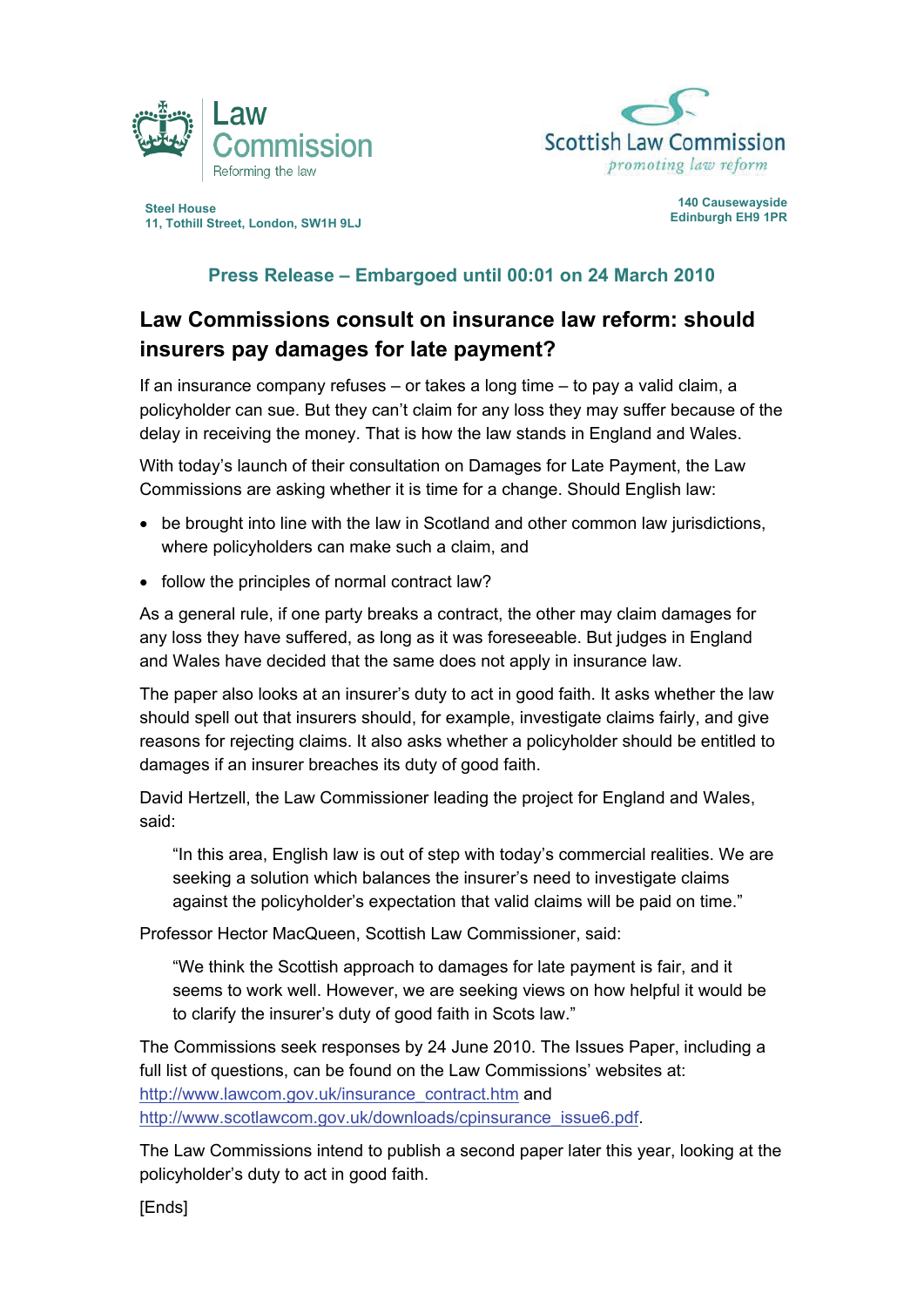



**Steel House 140 Causewayside 11, Tothill Street, London, SW1H 9LJ** 

## **Press Release – Embargoed until 00:01 on 24 March 2010**

## **Law Commissions consult on insurance law reform: should insurers pay damages for late payment?**

If an insurance company refuses – or takes a long time – to pay a valid claim, a policyholder can sue. But they can't claim for any loss they may suffer because of the delay in receiving the money. That is how the law stands in England and Wales.

With today's launch of their consultation on Damages for Late Payment, the Law Commissions are asking whether it is time for a change. Should English law:

- be brought into line with the law in Scotland and other common law jurisdictions, where policyholders can make such a claim, and
- follow the principles of normal contract law?

As a general rule, if one party breaks a contract, the other may claim damages for any loss they have suffered, as long as it was foreseeable. But judges in England and Wales have decided that the same does not apply in insurance law.

The paper also looks at an insurer's duty to act in good faith. It asks whether the law should spell out that insurers should, for example, investigate claims fairly, and give reasons for rejecting claims. It also asks whether a policyholder should be entitled to damages if an insurer breaches its duty of good faith.

David Hertzell, the Law Commissioner leading the project for England and Wales, said:

"In this area, English law is out of step with today's commercial realities. We are seeking a solution which balances the insurer's need to investigate claims against the policyholder's expectation that valid claims will be paid on time."

Professor Hector MacQueen, Scottish Law Commissioner, said:

"We think the Scottish approach to damages for late payment is fair, and it seems to work well. However, we are seeking views on how helpful it would be to clarify the insurer's duty of good faith in Scots law."

The Commissions seek responses by 24 June 2010. The Issues Paper, including a full list of questions, can be found on the Law Commissions' websites at: http://www.lawcom.gov.uk/insurance\_contract.htm and http://www.scotlawcom.gov.uk/downloads/cpinsurance\_issue6.pdf.

The Law Commissions intend to publish a second paper later this year, looking at the policyholder's duty to act in good faith.

[Ends]